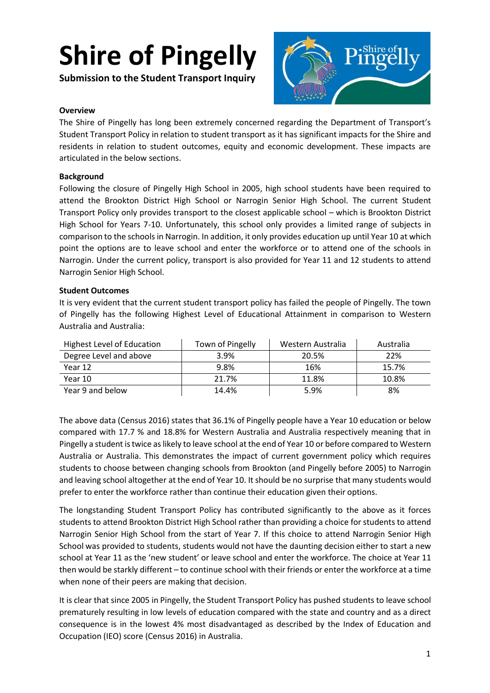**Submission to the Student Transport Inquiry**



#### **Overview**

The Shire of Pingelly has long been extremely concerned regarding the Department of Transport's Student Transport Policy in relation to student transport as it has significant impacts for the Shire and residents in relation to student outcomes, equity and economic development. These impacts are articulated in the below sections.

#### **Background**

Following the closure of Pingelly High School in 2005, high school students have been required to attend the Brookton District High School or Narrogin Senior High School. The current Student Transport Policy only provides transport to the closest applicable school – which is Brookton District High School for Years 7-10. Unfortunately, this school only provides a limited range of subjects in comparison to the schoolsin Narrogin. In addition, it only provides education up until Year 10 at which point the options are to leave school and enter the workforce or to attend one of the schools in Narrogin. Under the current policy, transport is also provided for Year 11 and 12 students to attend Narrogin Senior High School.

#### **Student Outcomes**

It is very evident that the current student transport policy has failed the people of Pingelly. The town of Pingelly has the following Highest Level of Educational Attainment in comparison to Western Australia and Australia:

| Highest Level of Education | Town of Pingelly | Western Australia | Australia |
|----------------------------|------------------|-------------------|-----------|
| Degree Level and above     | 3.9%             | 20.5%             | 22%       |
| Year 12                    | 9.8%             | 16%               | 15.7%     |
| Year 10                    | 21.7%            | 11.8%             | 10.8%     |
| Year 9 and below           | 14.4%            | 5.9%              | 8%        |

The above data (Census 2016) states that 36.1% of Pingelly people have a Year 10 education or below compared with 17.7 % and 18.8% for Western Australia and Australia respectively meaning that in Pingelly a student is twice as likely to leave school at the end of Year 10 or before compared to Western Australia or Australia. This demonstrates the impact of current government policy which requires students to choose between changing schools from Brookton (and Pingelly before 2005) to Narrogin and leaving school altogether at the end of Year 10. It should be no surprise that many students would prefer to enter the workforce rather than continue their education given their options.

The longstanding Student Transport Policy has contributed significantly to the above as it forces students to attend Brookton District High School rather than providing a choice for students to attend Narrogin Senior High School from the start of Year 7. If this choice to attend Narrogin Senior High School was provided to students, students would not have the daunting decision either to start a new school at Year 11 as the 'new student' or leave school and enter the workforce. The choice at Year 11 then would be starkly different – to continue school with their friends or enter the workforce at a time when none of their peers are making that decision.

It is clear that since 2005 in Pingelly, the Student Transport Policy has pushed students to leave school prematurely resulting in low levels of education compared with the state and country and as a direct consequence is in the lowest 4% most disadvantaged as described by the Index of Education and Occupation (IEO) score (Census 2016) in Australia.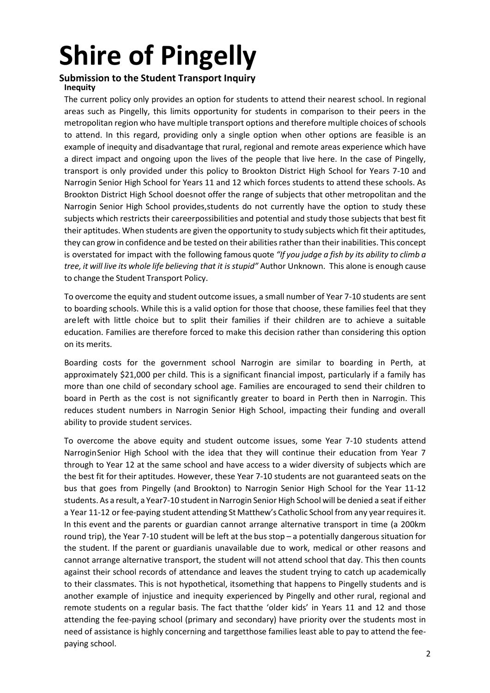### **Submission to the Student Transport Inquiry Inequity**

The current policy only provides an option for students to attend their nearest school. In regional areas such as Pingelly, this limits opportunity for students in comparison to their peers in the metropolitan region who have multiple transport options and therefore multiple choices of schools to attend. In this regard, providing only a single option when other options are feasible is an example of inequity and disadvantage that rural, regional and remote areas experience which have a direct impact and ongoing upon the lives of the people that live here. In the case of Pingelly, transport is only provided under this policy to Brookton District High School for Years 7-10 and Narrogin Senior High School for Years 11 and 12 which forces students to attend these schools. As Brookton District High School doesnot offer the range of subjects that other metropolitan and the Narrogin Senior High School provides,students do not currently have the option to study these subjects which restricts their careerpossibilities and potential and study those subjects that best fit their aptitudes. When students are given the opportunity to study subjects which fit their aptitudes, they can grow in confidence and be tested on their abilities rather than their inabilities. This concept is overstated for impact with the following famous quote *"If you judge a fish by its ability to climb a tree, it will live its whole life believing that it is stupid"* Author Unknown. This alone is enough cause to change the Student Transport Policy.

To overcome the equity and student outcome issues, a small number of Year 7-10 students are sent to boarding schools. While this is a valid option for those that choose, these families feel that they areleft with little choice but to split their families if their children are to achieve a suitable education. Families are therefore forced to make this decision rather than considering this option on its merits.

Boarding costs for the government school Narrogin are similar to boarding in Perth, at approximately \$21,000 per child. This is a significant financial impost, particularly if a family has more than one child of secondary school age. Families are encouraged to send their children to board in Perth as the cost is not significantly greater to board in Perth then in Narrogin. This reduces student numbers in Narrogin Senior High School, impacting their funding and overall ability to provide student services.

To overcome the above equity and student outcome issues, some Year 7-10 students attend NarroginSenior High School with the idea that they will continue their education from Year 7 through to Year 12 at the same school and have access to a wider diversity of subjects which are the best fit for their aptitudes. However, these Year 7-10 students are not guaranteed seats on the bus that goes from Pingelly (and Brookton) to Narrogin Senior High School for the Year 11-12 students. As a result, a Year7-10 student in Narrogin Senior High School will be denied a seat if either a Year 11-12 or fee-paying student attending St Matthew's Catholic School from any year requires it. In this event and the parents or guardian cannot arrange alternative transport in time (a 200km round trip), the Year 7-10 student will be left at the bus stop – a potentially dangerous situation for the student. If the parent or guardianis unavailable due to work, medical or other reasons and cannot arrange alternative transport, the student will not attend school that day. This then counts against their school records of attendance and leaves the student trying to catch up academically to their classmates. This is not hypothetical, itsomething that happens to Pingelly students and is another example of injustice and inequity experienced by Pingelly and other rural, regional and remote students on a regular basis. The fact thatthe 'older kids' in Years 11 and 12 and those attending the fee-paying school (primary and secondary) have priority over the students most in need of assistance is highly concerning and targetthose families least able to pay to attend the feepaying school.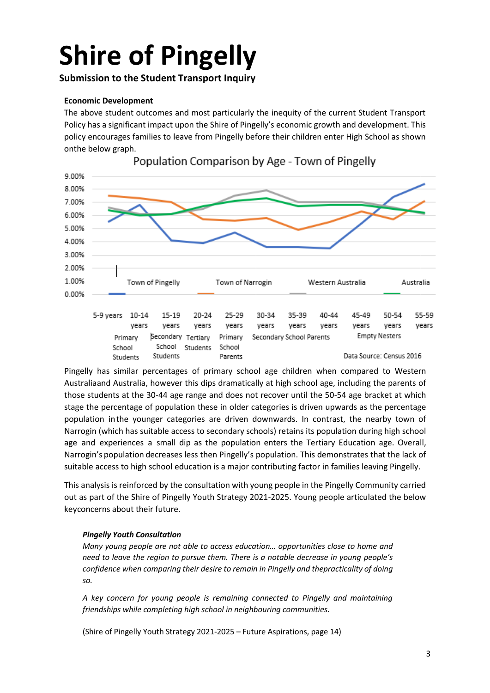## **Submission to the Student Transport Inquiry**

## **Economic Development**

The above student outcomes and most particularly the inequity of the current Student Transport Policy has a significant impact upon the Shire of Pingelly's economic growth and development. This policy encourages families to leave from Pingelly before their children enter High School as shown onthe below graph.



Population Comparison by Age - Town of Pingelly

Pingelly has similar percentages of primary school age children when compared to Western Australiaand Australia, however this dips dramatically at high school age, including the parents of those students at the 30-44 age range and does not recover until the 50-54 age bracket at which stage the percentage of population these in older categories is driven upwards as the percentage population inthe younger categories are driven downwards. In contrast, the nearby town of Narrogin (which has suitable access to secondary schools) retains its population during high school age and experiences a small dip as the population enters the Tertiary Education age. Overall, Narrogin's population decreases less then Pingelly's population. This demonstrates that the lack of suitable access to high school education is a major contributing factor in families leaving Pingelly.

This analysis is reinforced by the consultation with young people in the Pingelly Community carried out as part of the Shire of Pingelly Youth Strategy 2021-2025. Young people articulated the below keyconcerns about their future.

### *Pingelly Youth Consultation*

*Many young people are not able to access education… opportunities close to home and need to leave the region to pursue them. There is a notable decrease in young people's confidence when comparing their desire to remain in Pingelly and thepracticality of doing so.*

*A key concern for young people is remaining connected to Pingelly and maintaining friendships while completing high school in neighbouring communities.*

(Shire of Pingelly Youth Strategy 2021-2025 – Future Aspirations, page 14)